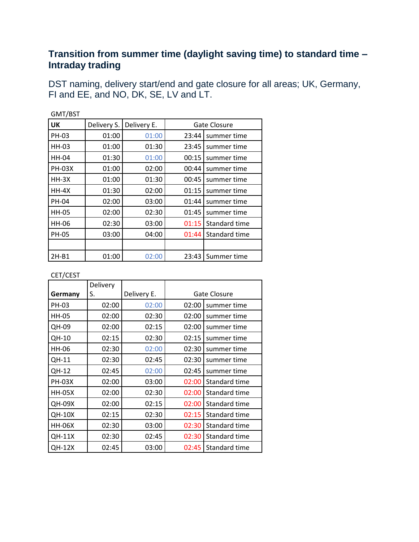## **Transition from summer time (daylight saving time) to standard time – Intraday trading**

DST naming, delivery start/end and gate closure for all areas; UK, Germany, FI and EE, and NO, DK, SE, LV and LT.

| GMT/BST       |             |             |              |               |
|---------------|-------------|-------------|--------------|---------------|
| <b>UK</b>     | Delivery S. | Delivery E. | Gate Closure |               |
| PH-03         | 01:00       | 01:00       | 23:44        | summer time   |
| HH-03         | 01:00       | 01:30       | 23:45        | summer time   |
| <b>HH-04</b>  | 01:30       | 01:00       | 00:15        | summer time   |
| <b>PH-03X</b> | 01:00       | 02:00       | 00:44        | summer time   |
| $HH-3X$       | 01:00       | 01:30       | 00:45        | summer time   |
| $HH-4X$       | 01:30       | 02:00       | 01:15        | summer time   |
| PH-04         | 02:00       | 03:00       | 01:44        | summer time   |
| <b>HH-05</b>  | 02:00       | 02:30       | 01:45        | summer time   |
| HH-06         | 02:30       | 03:00       | 01:15        | Standard time |
| <b>PH-05</b>  | 03:00       | 04:00       | 01:44        | Standard time |
|               |             |             |              |               |
| $2H-B1$       | 01:00       | 02:00       | 23:43        | Summer time   |

## CET/CEST

|               | Delivery |             |       |               |
|---------------|----------|-------------|-------|---------------|
| Germany       | S.       | Delivery E. |       | Gate Closure  |
| PH-03         | 02:00    | 02:00       | 02:00 | summer time   |
| <b>HH-05</b>  | 02:00    | 02:30       | 02:00 | summer time   |
| QH-09         | 02:00    | 02:15       | 02:00 | summer time   |
| QH-10         | 02:15    | 02:30       | 02:15 | summer time   |
| HH-06         | 02:30    | 02:00       | 02:30 | summer time   |
| QH-11         | 02:30    | 02:45       | 02:30 | summer time   |
| QH-12         | 02:45    | 02:00       | 02:45 | summer time   |
| <b>PH-03X</b> | 02:00    | 03:00       | 02:00 | Standard time |
| <b>HH-05X</b> | 02:00    | 02:30       | 02:00 | Standard time |
| <b>QH-09X</b> | 02:00    | 02:15       | 02:00 | Standard time |
| <b>QH-10X</b> | 02:15    | 02:30       | 02:15 | Standard time |
| <b>HH-06X</b> | 02:30    | 03:00       | 02:30 | Standard time |
| <b>QH-11X</b> | 02:30    | 02:45       | 02:30 | Standard time |
| <b>QH-12X</b> | 02:45    | 03:00       | 02:45 | Standard time |